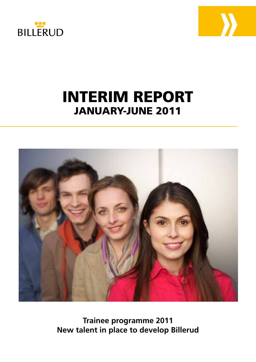



# INTERIM REPORT JANUARY-JUNE 2011



**Trainee programme 2011 New talent in place to develop Billerud**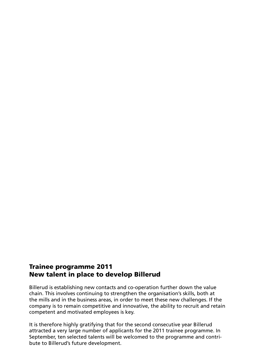# Trainee programme 2011 New talent in place to develop Billerud

Billerud is establishing new contacts and co-operation further down the value chain. This involves continuing to strengthen the organisation's skills, both at the mills and in the business areas, in order to meet these new challenges. If the company is to remain competitive and innovative, the ability to recruit and retain competent and motivated employees is key.

It is therefore highly gratifying that for the second consecutive year Billerud attracted a very large number of applicants for the 2011 trainee programme. In September, ten selected talents will be welcomed to the programme and contribute to Billerud's future development.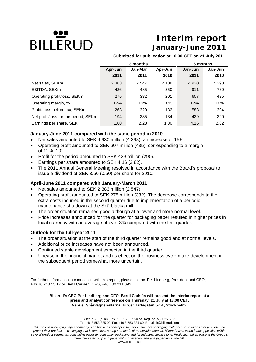# **BILLERUD**

# **Interim report January-June 2011**

**Submitted for publication at 10.30 CET on 21 July 2011**

|                                      |         | 3 months | 6 months |         |         |
|--------------------------------------|---------|----------|----------|---------|---------|
|                                      | Apr-Jun | Jan-Mar  | Apr-Jun  | Jan-Jun | Jan-Jun |
|                                      | 2011    | 2011     | 2010     | 2011    | 2010    |
| Net sales, SEKm                      | 2 3 8 3 | 2 5 4 7  | 2 108    | 4 9 3 0 | 4 2 9 8 |
| EBITDA, SEKm                         | 426     | 485      | 350      | 911     | 730     |
| Operating profit/loss, SEKm          | 275     | 332      | 201      | 607     | 435     |
| Operating margin, %                  | 12%     | 13%      | 10%      | 12%     | 10%     |
| Profit/Loss before tax, SEKm         | 263     | 320      | 182      | 583     | 394     |
| Net profit/loss for the period, SEKm | 194     | 235      | 134      | 429     | 290     |
| Earnings per share, SEK              | 1,88    | 2,28     | 1,30     | 4,16    | 2,82    |

# **January-June 2011 compared with the same period in 2010**

- Net sales amounted to SEK 4 930 million (4 298), an increase of 15%.
- Operating profit amounted to SEK 607 million (435), corresponding to a margin of 12% (10).
- Profit for the period amounted to SEK 429 million (290).
- Earnings per share amounted to SEK 4.16 (2.82).
- The 2011 Annual General Meeting resolved in accordance with the Board's proposal to issue a dividend of SEK 3.50 (0.50) per share for 2010.

# **April-June 2011 compared with January-March 2011**

- Net sales amounted to SEK 2 383 million (2 547).
- Operating profit amounted to SEK 275 million (332). The decrease corresponds to the extra costs incurred in the second quarter due to implementation of a periodic maintenance shutdown at the Skärblacka mill.
- The order situation remained good although at a lower and more normal level.
- Price increases announced for the quarter for packaging paper resulted in higher prices in local currency with an average of over 3% compared with the first quarter.

# **Outlook for the full-year 2011**

- The order situation at the start of the third quarter remains good and at normal levels.
- Additional price increases have not been announced.
- Continued stable development expected in the third quarter.
- Unease in the financial market and its effect on the business cycle make development in the subsequent period somewhat more uncertain.

For further information in connection with this report, please contact Per Lindberg, President and CEO, +46 70 248 15 17 or Bertil Carlsén, CFO, +46 730 211 092

# **Billerud's CEO Per Lindberg and CFO Bertil Carlsén will present the interim report at a press and analyst conference on Thursday, 21 July at 13.00 CET. Venue: Spårvagnshallarna, Birger Jarlsgatan 57 A, Stockholm.**

Billerud AB (publ) Box 703, 169 27 Solna Reg. no. 556025-5001

Tel +46 8 553 335 00 Fax +46 8 553 335 60 E-mail: ir@billerud.com

*Billerud is a packaging paper company. The business concept is to offer customers packaging material and solutions that promote and protect their products – packaging that is attractive, strong and made of renewable material. Billerud has a world-leading position within several product segments, both within paper for consumer packaging and for industrial applications. Production takes place at the Group's three integrated pulp and paper mills in Sweden, and at a paper mill in the UK.*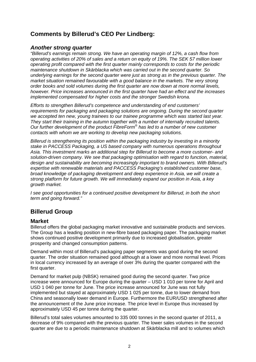# **Comments by Billerud's CEO Per Lindberg:**

# *Another strong quarter*

*"Billerud's earnings remain strong. We have an operating margin of 12%, a cash flow from operating activities of 20% of sales and a return on equity of 19%. The SEK 57 million lower operating profit compared with the first quarter mainly corresponds to costs for the periodic maintenance shutdown in Skärblacka which was carried out in the second quarter. So underlying earnings for the second quarter were just as strong as in the previous quarter. The market situation remained favourable with a good balance in the markets. The very strong order books and sold volumes during the first quarter are now down at more normal levels, however. Price increases announced in the first quarter have had an effect and the increases implemented compensated for higher costs and the stronger Swedish krona.* 

*Efforts to strengthen Billerud's competence and understanding of end customers' requirements for packaging and packaging solutions are ongoing. During the second quarter we accepted ten new, young trainees to our trainee programme which was started last year. They start their training in the autumn together with a number of internally recruited talents. Our further development of the product FibreForm® has led to a number of new customer contacts with whom we are working to develop new packaging solutions.* 

*Billerud is strengthening its position within the packaging industry by investing in a minority stake in PACCESS Packaging, a US based company with numerous operations throughout Asia. This investment marks an additional step for Billerud to become a more customer- and solution-driven company. We see that packaging optimisation with regard to function, material, design and sustainability are becoming increasingly important to brand owners. With Billerud's expertise with renewable materials and PACCESS Packaging's established customer base, broad knowledge of packaging development and deep experience in Asia, we will create a strong platform for future growth. We will immediately expand our position in Asia, a key growth market.* 

*I* see good opportunities for a continued positive development for Billerud, in both the short *term and going forward."* 

# **Billerud Group**

# **Market**

Billerud offers the global packaging market innovative and sustainable products and services. The Group has a leading position in new-fibre based packaging paper. The packaging market shows continued positive development primarily due to increased globalisation, greater prosperity and changed consumption patterns.

Demand within most of Billerud's packaging paper segments was good during the second quarter. The order situation remained good although at a lower and more normal level. Prices in local currency increased by an average of over 3% during the quarter compared with the first quarter.

Demand for market pulp (NBSK) remained good during the second quarter. Two price increase were announced for Europe during the quarter – USD 1 010 per tonne for April and USD 1 040 per tonne for June. The price increase announced for June was not fully implemented but stayed at approximately USD 1 025 per tonne, due to lower demand from China and seasonally lower demand in Europe. Furthermore the EUR/USD strengthened after the announcement of the June price increase. The price level in Europe thus increased by approximately USD 45 per tonne during the quarter.

Billerud's total sales volumes amounted to 335 000 tonnes in the second quarter of 2011, a decrease of 9% compared with the previous quarter. The lower sales volumes in the second quarter are due to a periodic maintenance shutdown at Skärblacka mill and to volumes which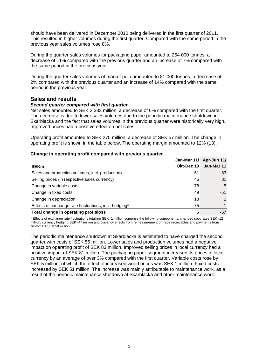should have been delivered in December 2010 being delivered in the first quarter of 2011. This resulted in higher volumes during the first quarter. Compared with the same period in the previous year sales volumes rose 8%.

During the quarter sales volumes for packaging paper amounted to 254 000 tonnes, a decrease of 11% compared with the previous quarter and an increase of 7% compared with the same period in the previous year.

During the quarter sales volumes of market pulp amounted to 81 000 tonnes, a decrease of 2% compared with the previous quarter and an increase of 14% compared with the same period in the previous year.

# **Sales and results**

# *Second quarter compared with first quarter*

Net sales amounted to SEK 2 383 million, a decrease of 6% compared with the first quarter. The decrease is due to lower sales volumes due to the periodic maintenance shutdown in Skärblacka and the fact that sales volumes in the previous quarter were historically very high. Improved prices had a positive effect on net sales.

Operating profit amounted to SEK 275 million, a decrease of SEK 57 million. The change in operating profit is shown in the table below. The operating margin amounted to 12% (13).

# **Change in operating profit compared with previous quarter**

| <b>SEKm</b>                                           | Jan-Mar 11/<br>Okt-Dec 10 | Apr-Jun 11/<br>Jan-Mar 11 |
|-------------------------------------------------------|---------------------------|---------------------------|
| Sales and production volumes, incl. product mix       | 51                        | -83                       |
| Selling prices (in respective sales currency)         | 46                        | 81                        |
| Change in variable costs                              | $-78$                     | $-5$                      |
| Change in fixed costs                                 | 49                        | $-51$                     |
| Change in depreciation                                | 13                        | 2                         |
| Effects of exchange rate fluctuations, incl. hedging* | $-75$                     | $-1$                      |
| Total change in operating profit/loss                 | 6                         | -57                       |

\* Effects of exchange rate fluctuations totalling SEK -1 million comprise the following components: changed spot rates SEK -12 million, currency hedging SEK -47 million and currency effects from remeasurement of trade receivables and payments from customers SEK 58 million.

The periodic maintenance shutdown at Skärblacka is estimated to have charged the second quarter with costs of SEK 56 million. Lower sales and production volumes had a negative impact on operating profit of SEK 83 million. Improved selling prices in local currency had a positive impact of SEK 81 million. The packaging paper segment increased its prices in local currency by an average of over 3% compared with the first quarter. Variable costs rose by SEK 5 million, of which the effect of increased wood prices was SEK 1 million. Fixed costs increased by SEK 51 million. The increase was mainly attributable to maintenance work, as a result of the periodic maintenance shutdown at Skärblacka and other maintenance work.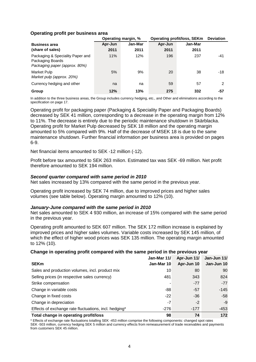# **Operating profit per business area**

|                                                                                       |         | Operating margin, % | <b>Operating profit/loss, SEKm</b> | <b>Deviation</b> |               |
|---------------------------------------------------------------------------------------|---------|---------------------|------------------------------------|------------------|---------------|
| <b>Business area</b>                                                                  | Apr-Jun | Jan-Mar             | Apr-Jun                            | Jan-Mar          |               |
| (share of sales)                                                                      | 2011    | 2011                | 2011                               | 2011             |               |
| Packaging & Speciality Paper and<br>Packaging Boards<br>Packaging paper (approx. 80%) | 11%     | 12%                 | 196                                | 237              | $-41$         |
| Market Pulp<br>Market pulp (approx. 20%)                                              | 5%      | 9%                  | 20                                 | 38               | -18           |
| Currency hedging and other                                                            | na      | na                  | 59                                 | 57               | $\mathcal{P}$ |
| Group                                                                                 | 12%     | 13%                 | 275                                | 332              | -57           |

In addition to the three business areas, the Group includes currency hedging, etc., and Other and eliminations according to the specification on page 17.

Operating profit for packaging paper (Packaging & Speciality Paper and Packaging Boards) decreased by SEK 41 million, corresponding to a decrease in the operating margin from 12% to 11%. The decrease is entirely due to the periodic maintenance shutdown in Skärblacka. Operating profit for Market Pulp decreased by SEK 18 million and the operating margin amounted to 5% compared with 9%. Half of the decrease of MSEK 18 is due to the same maintenance shutdown. Further financial information per business area is provided on pages 6-9.

Net financial items amounted to SEK -12 million (-12).

Profit before tax amounted to SEK 263 milion. Estimated tax was SEK -69 million. Net profit therefore amounted to SEK 194 million.

# *Second quarter compared with same period in 2010*

Net sales increased by 13% compared with the same period in the previous year.

Operating profit increased by SEK 74 million, due to improved prices and higher sales volumes (see table below). Operating margin amounted to 12% (10).

# *January-June compared with the same period in 2010*

Net sales amounted to SEK 4 930 million, an increase of 15% compared with the same period in the previous year.

Operating profit amounted to SEK 607 million. The SEK 172 million increase is explained by improved prices and higher sales volumes. Variable costs increased by SEK 145 million, of which the effect of higher wood prices was SEK 135 million. The operating margin amounted to 12% (10).

# **Change in operating profit compared with the same period in the previous year**

|                                                       | Jan-Mar 11/ | Apr-Jun 11/ | Jan-Jun 11/ |
|-------------------------------------------------------|-------------|-------------|-------------|
| <b>SEKm</b>                                           | Jan-Mar 10  | Apr-Jun 10  | Jan-Jun 10  |
| Sales and production volumes, incl. product mix       | 10          | 80          | 90          |
| Selling prices (in respective sales currency)         | 481         | 343         | 824         |
| Strike compensation                                   |             | $-77$       | $-77$       |
| Change in variable costs                              | -88         | $-57$       | $-145$      |
| Change in fixed costs                                 | $-22$       | $-36$       | -58         |
| Change in depreciation                                | -7          | $-2$        | -9          |
| Effects of exchange rate fluctuations, incl. hedging* | $-276$      | $-177$      | -453        |
| Total change in operating profit/loss                 | 98          | 74          | 172         |

\* Effects of exchange rate fluctuations totalling SEK -453 million comprise the following components: changed spot rates SEK -503 million, currency hedging SEK 5 million and currency effects from remeasurement of trade receivables and payments from customers SEK 45 million.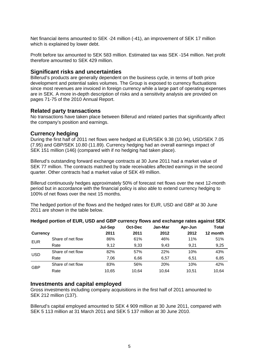Net financial items amounted to SEK -24 million (-41), an improvement of SEK 17 million which is explained by lower debt.

Profit before tax amounted to SEK 583 million. Estimated tax was SEK -154 million. Net profit therefore amounted to SEK 429 million.

# **Significant risks and uncertainties**

Billerud's products are generally dependent on the business cycle, in terms of both price development and potential sales volumes. The Group is exposed to currency fluctuations since most revenues are invoiced in foreign currency while a large part of operating expenses are in SEK. A more in-depth description of risks and a sensitivity analysis are provided on pages 71-75 of the 2010 Annual Report.

# **Related party transactions**

No transactions have taken place between Billerud and related parties that significantly affect the company's position and earnings.

# **Currency hedging**

During the first half of 2011 net flows were hedged at EUR/SEK 9.38 (10.94), USD/SEK 7.05 (7.95) and GBP/SEK 10.80 (11.89). Currency hedging had an overall earnings impact of SEK 151 million (146) (compared with if no hedging had taken place).

Billerud's outstanding forward exchange contracts at 30 June 2011 had a market value of SEK 77 million. The contracts matched by trade receivables affected earnings in the second quarter. Other contracts had a market value of SEK 49 million.

Billerud continuously hedges approximately 50% of forecast net flows over the next 12-month period but in accordance with the financial policy is also able to extend currency hedging to 100% of net flows over the next 15 months.

The hedged portion of the flows and the hedged rates for EUR, USD and GBP at 30 June 2011 are shown in the table below.

|                 |                   | Jul-Sep | Oct-Dec | Jan-Mar | Apr-Jun | Total    |
|-----------------|-------------------|---------|---------|---------|---------|----------|
| <b>Currency</b> |                   | 2011    | 2011    | 2012    | 2012    | 12 month |
| <b>EUR</b>      | Share of net flow | 86%     | 61%     | 46%     | 11%     | 51%      |
|                 | Rate              | 9.12    | 9,33    | 9,43    | 9.21    | 9,25     |
| <b>USD</b>      | Share of net flow | 82%     | 57%     | 22%     | 10%     | 43%      |
|                 | Rate              | 7.06    | 6,66    | 6.57    | 6.51    | 6,85     |
| <b>GBP</b>      | Share of net flow | 83%     | 56%     | 20%     | 10%     | 42%      |
|                 | Rate              | 10.65   | 10.64   | 10.64   | 10.51   | 10.64    |
|                 |                   |         |         |         |         |          |

# **Hedged portion of EUR, USD and GBP currency flows and exchange rates against SEK**

# **Investments and capital employed**

Gross investments including company acquisitions in the first half of 2011 amounted to SEK 212 million (137).

Billerud's capital employed amounted to SEK 4 909 million at 30 June 2011, compared with SEK 5 113 million at 31 March 2011 and SEK 5 137 million at 30 June 2010.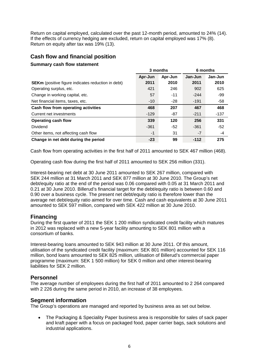Return on capital employed, calculated over the past 12-month period, amounted to 24% (14). If the effects of currency hedging are excluded, return on capital employed was 17% (8). Return on equity after tax was 19% (13).

# **Cash flow and financial position**

# **Summary cash flow statement**

|                                                           |         | 3 months | 6 months |         |  |
|-----------------------------------------------------------|---------|----------|----------|---------|--|
|                                                           | Apr-Jun | Apr-Jun  | Jan-Jun  | Jan-Jun |  |
| <b>SEKm</b> (positive figure indicates reduction in debt) | 2011    | 2010     | 2011     | 2010    |  |
| Operating surplus, etc.                                   | 421     | 246      | 902      | 625     |  |
| Change in working capital, etc.                           | 57      | $-11$    | $-244$   | -99     |  |
| Net financial items, taxes, etc.                          | $-10$   | -28      | $-191$   | -58     |  |
| Cash flow from operating activities                       | 468     | 207      | 467      | 468     |  |
| Current net investments                                   | $-129$  | $-87$    | $-211$   | -137    |  |
| <b>Operating cash flow</b>                                | 339     | 120      | 256      | 331     |  |
| Dividend                                                  | $-361$  | -52      | $-361$   | $-52$   |  |
| Other items, not affecting cash flow                      | $-1$    | 31       | $-7$     | -4      |  |
| Change in net debt during the period                      | $-23$   | 99       | $-112$   | 275     |  |

Cash flow from operating activities in the first half of 2011 amounted to SEK 467 million (468).

Operating cash flow during the first half of 2011 amounted to SEK 256 million (331).

Interest-bearing net debt at 30 June 2011 amounted to SEK 267 million, compared with SEK 244 million at 31 March 2011 and SEK 877 million at 30 June 2010. The Group's net debt/equity ratio at the end of the period was 0.06 compared with 0.05 at 31 March 2011 and 0.21 at 30 June 2010. Billerud's financial target for the debt/equity ratio is between 0.60 and 0.90 over a business cycle. The present net debt/equity ratio is therefore lower than the average net debt/equity ratio aimed for over time. Cash and cash equivalents at 30 June 2011 amounted to SEK 597 million, compared with SEK 422 million at 30 June 2010.

# **Financing**

During the first quarter of 2011 the SEK 1 200 million syndicated credit facility which matures in 2012 was replaced with a new 5-year facility amounting to SEK 801 million with a consortium of banks.

Interest-bearing loans amounted to SEK 943 million at 30 June 2011. Of this amount, utilisation of the syndicated credit facility (maximum: SEK 801 million) accounted for SEK 116 million, bond loans amounted to SEK 825 million, utilisation of Billerud's commercial paper programme (maximum: SEK 1 500 million) for SEK 0 million and other interest-bearing liabilities for SEK 2 million.

# **Personnel**

The average number of employees during the first half of 2011 amounted to 2 264 compared with 2 226 during the same period in 2010, an increase of 38 employees.

# **Segment information**

The Group's operations are managed and reported by business area as set out below.

 The Packaging & Speciality Paper business area is responsible for sales of sack paper and kraft paper with a focus on packaged food, paper carrier bags, sack solutions and industrial applications.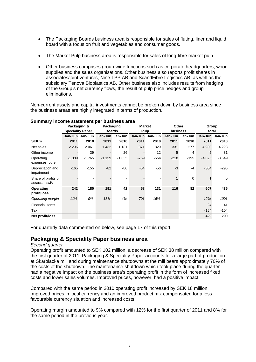- The Packaging Boards business area is responsible for sales of fluting, liner and liquid board with a focus on fruit and vegetables and consumer goods.
- The Market Pulp business area is responsible for sales of long-fibre market pulp.
- Other business comprises group-wide functions such as corporate headquarters, wood supplies and the sales organisations. Other business also reports profit shares in associates/joint ventures, Nine TPP AB and ScandFibre Logistics AB, as well as the subsidiary Tenova Bioplastics AB. Other business also includes results from hedging of the Group's net currency flows, the result of pulp price hedges and group eliminations.

Non-current assets and capital investments cannot be broken down by business area since the business areas are highly integrated in terms of production.

|                                      | Packaging &<br><b>Speciality Paper</b> |         | Packaging<br><b>Boards</b> |         | <b>Market</b><br><b>Pulp</b> |         | Other<br>business |             | <b>Group</b><br>total |                 |
|--------------------------------------|----------------------------------------|---------|----------------------------|---------|------------------------------|---------|-------------------|-------------|-----------------------|-----------------|
|                                      | Jan-Jun                                | Jan-Jun | Jan-Jun                    | Jan-Jun | Jan-Jun                      | Jan-Jun | Jan-Jun           | Jan-Jun     |                       | Jan-Jun Jan-Jun |
| <b>SEKm</b>                          | 2011                                   | 2010    | 2011                       | 2010    | 2011                         | 2010    | 2011              | 2010        | 2011                  | 2010            |
| Net sales                            | 2 2 9 6                                | 2 0 6 1 | 1 4 3 2                    | 1 1 3 1 | 871                          | 829     | 331               | 277         | 4 9 3 0               | 4 2 9 8         |
| Other income                         |                                        | 39      |                            | 26      |                              | 12      | 5                 | 4           | 5                     | 81              |
| Operating<br>expenses, other         | $-1889$                                | $-1765$ | $-1159$                    | $-1035$ | $-759$                       | $-654$  | $-218$            | $-195$      | $-4025$               | $-3649$         |
| Depreciation and<br>impairment       | $-165$                                 | $-155$  | $-82$                      | $-80$   | $-54$                        | $-56$   | $-3$              | $-4$        | $-304$                | $-295$          |
| Share of profits of<br>associates/JV |                                        |         |                            |         |                              |         |                   | $\mathbf 0$ |                       | 0               |
| Operating<br>profit/loss             | 242                                    | 180     | 191                        | 42      | 58                           | 131     | 116               | 82          | 607                   | 435             |
| Operating margin                     | 11%                                    | 9%      | 13%                        | 4%      | 7%                           | 16%     |                   |             | 12%                   | 10%             |
| Financial items                      |                                        |         |                            |         |                              |         |                   |             | $-24$                 | $-41$           |
| Tax                                  |                                        |         |                            |         |                              |         |                   |             | $-154$                | $-104$          |
| Net profit/loss                      |                                        |         |                            |         |                              |         |                   |             | 429                   | 290             |

# **Summary income statement per business area**

For quarterly data commented on below, see page 17 of this report.

# **Packaging & Speciality Paper business area**

# *Second quarter*

Operating profit amounted to SEK 102 million, a decrease of SEK 38 million compared with the first quarter of 2011. Packaging & Speciality Paper accounts for a large part of production at Skärblacka mill and during maintenance shutdowns at the mill bears approximately 70% of the costs of the shutdown. The maintenance shutdown which took place during the quarter had a negative impact on the business area's operating profit in the form of increased fixed costs and lower sales volumes. Improved prices, however, had a positive impact.

Compared with the same period in 2010 operating profit increased by SEK 18 million. Improved prices in local currency and an improved product mix compensated for a less favourable currency situation and increased costs.

Operating margin amounted to 9% compared with 12% for the first quarter of 2011 and 8% for the same period in the previous year.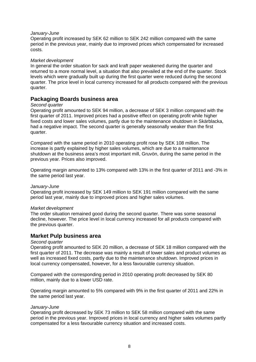# *January-June*

Operating profit increased by SEK 62 million to SEK 242 million compared with the same period in the previous year, mainly due to improved prices which compensated for increased costs.

# *Market development*

In general the order situation for sack and kraft paper weakened during the quarter and returned to a more normal level, a situation that also prevailed at the end of the quarter. Stock levels which were gradually built up during the first quarter were reduced during the second quarter. The price level in local currency increased for all products compared with the previous quarter.

# **Packaging Boards business area**

# *Second quarter*

Operating profit amounted to SEK 94 million, a decrease of SEK 3 million compared with the first quarter of 2011. Improved prices had a positive effect on operating profit while higher fixed costs and lower sales volumes, partly due to the maintenance shutdown in Skärblacka, had a negative impact. The second quarter is generally seasonally weaker than the first quarter.

Compared with the same period in 2010 operating profit rose by SEK 108 million. The increase is partly explained by higher sales volumes, which are due to a maintenance shutdown at the business area's most important mill, Gruvön, during the same period in the previous year. Prices also improved.

Operating margin amounted to 13% compared with 13% in the first quarter of 2011 and -3% in the same period last year.

# *January-June*

Operating profit increased by SEK 149 million to SEK 191 million compared with the same period last year, mainly due to improved prices and higher sales volumes.

# *Market development*

The order situation remained good during the second quarter. There was some seasonal decline, however. The price level in local currency increased for all products compared with the previous quarter.

# **Market Pulp business area**

# *Second quarter*

Operating profit amounted to SEK 20 million, a decrease of SEK 18 million compared with the first quarter of 2011. The decrease was mainly a result of lower sales and product volumes as well as increased fixed costs, partly due to the maintenance shutdown. Improved prices in local currency compensated, however, for a less favourable currency situation.

Compared with the corresponding period in 2010 operating profit decreased by SEK 80 million, mainly due to a lower USD rate.

Operating margin amounted to 5% compared with 9% in the first quarter of 2011 and 22% in the same period last year.

# *January-June*

Operating profit decreased by SEK 73 million to SEK 58 million compared with the same period in the previous year. Improved prices in local currency and higher sales volumes partly compensated for a less favourable currency situation and increased costs.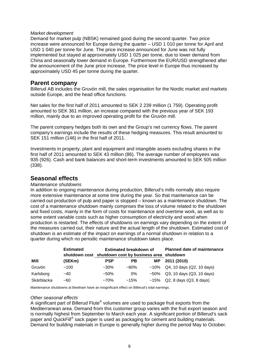# *Market development*

Demand for market pulp (NBSK) remained good during the second quarter. Two price increase were announced for Europe during the quarter – USD 1 010 per tonne for April and USD 1 040 per tonne for June. The price increase announced for June was not fully implemented but stayed at approximately USD 1 025 per tonne, due to lower demand from China and seasonally lower demand in Europe. Furthermore the EUR/USD strengthened after the announcement of the June price increase. The price level in Europe thus increased by approximately USD 45 per tonne during the quarter.

# **Parent company**

Billerud AB includes the Gruvön mill, the sales organisation for the Nordic market and markets outside Europe, and the head office functions.

Net sales for the first half of 2011 amounted to SEK 2 239 million (1 759). Operating profit amounted to SEK 361 million, an increase compared with the previous year of SEK 193 million, mainly due to an improved operating profit for the Gruvön mill.

The parent company hedges both its own and the Group's net currency flows. The parent company's earnings include the results of these hedging measures. This result amounted to SEK 151 million (146) in the first half of 2011.

Investments in property, plant and equipment and intangible assets excluding shares in the first half of 2011 amounted to SEK 43 million (86). The average number of employees was 935 (926). Cash and bank balances and short-term investments amounted to SEK 505 million (338).

# **Seasonal effects**

# *Maintenance shutdowns*

In addition to ongoing maintenance during production, Billerud's mills normally also require more extensive maintenance at some time during the year. So that maintenance can be carried out production of pulp and paper is stopped – known as a maintenance shutdown. The cost of a maintenance shutdown mainly comprises the loss of volume related to the shutdown and fixed costs, mainly in the form of costs for maintenance and overtime work, as well as to some extent variable costs such as higher consumption of electricity and wood when production is restarted. The effects of shutdowns on earnings vary depending on the extent of the measures carried out, their nature and the actual length of the shutdown. Estimated cost of shutdown is an estimate of the impact on earnings of a normal shutdown in relation to a quarter during which no periodic maintenance shutdown takes place.

| <b>Estimated</b> |                                                       |            | <b>Estimated breakdown of</b> | <b>Planned date of maintenance</b> |                                   |  |
|------------------|-------------------------------------------------------|------------|-------------------------------|------------------------------------|-----------------------------------|--|
|                  | shutdown cost shutdown cost by business area shutdown |            |                               |                                    |                                   |  |
| Mill             | (SEKm)                                                | <b>PSP</b> | <b>PB</b>                     | <b>MP</b>                          | 2011 (2010)                       |  |
| Gruvön           | ~100                                                  | $~1.30\%$  | $~160\%$                      |                                    | $~10\%$ Q4, 10 days (Q2, 10 days) |  |
| Karlsborg        | $-40$                                                 | $~1.50\%$  | 0%                            |                                    | $~50\%$ Q3, 10 days (Q3, 10 days) |  |
| Skärblacka       | $-60$                                                 | $~1.70\%$  | $~15\%$                       |                                    | $~15\%$ Q2, 8 days (Q3, 8 days)   |  |

Maintenance shutdowns at Beetham have an insignificant effect on Billerud's total earnings.

# *Other seasonal effects*

A significant part of Billerud Flute<sup>®</sup> volumes are used to package fruit exports from the Mediterranean area. Demand from this customer group varies with the fruit export season and is normally highest from September to March each year. A significant portion of Billerud's sack paper and QuickFill<sup>®</sup> sack paper is used as packaging for cement and building materials. Demand for building materials in Europe is generally higher during the period May to October.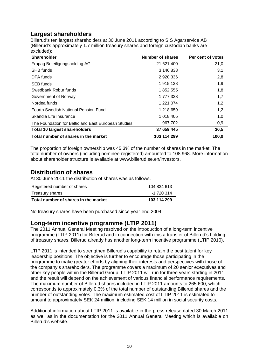# **Largest shareholders**

Billerud's ten largest shareholders at 30 June 2011 according to SIS Ägarservice AB (Billerud's approximately 1.7 million treasury shares and foreign custodian banks are excluded):

| <b>Shareholder</b>                                  | Number of shares | Per cent of votes |
|-----------------------------------------------------|------------------|-------------------|
| Frapag Beteiligungsholding AG                       | 21 621 400       | 21,0              |
| <b>SHB</b> funds                                    | 3 146 838        | 3,1               |
| DFA funds                                           | 2 920 336        | 2,8               |
| <b>SEB</b> funds                                    | 1915 138         | 1,9               |
| Swedbank Robur funds                                | 1852 555         | 1,8               |
| Government of Norway                                | 1777338          | 1,7               |
| Nordea funds                                        | 1 221 074        | 1,2               |
| Fourth Swedish National Pension Fund                | 1 218 659        | 1,2               |
| Skandia Life Insurance                              | 1 018 405        | 1,0               |
| The Foundation for Baltic and East European Studies | 967 702          | 0,9               |
| <b>Total 10 largest shareholders</b>                | 37 659 445       | 36,5              |
| Total number of shares in the market                | 103 114 299      | 100,0             |

The proportion of foreign ownership was 45.3% of the number of shares in the market. The total number of owners (including nominee-registered) amounted to 108 968. More information about shareholder structure is available at www.billerud.se.en/investors.

# **Distribution of shares**

At 30 June 2011 the distribution of shares was as follows.

| Registered number of shares          | 104 834 613 |
|--------------------------------------|-------------|
| Treasury shares                      | -1 720 314  |
| Total number of shares in the market | 103 114 299 |

No treasury shares have been purchased since year-end 2004.

# **Long-term incentive programme (LTIP 2011)**

The 2011 Annual General Meeting resolved on the introduction of a long-term incentive programme (LTIP 2011) for Billerud and in connection with this a transfer of Billerud's holding of treasury shares. Billerud already has another long-term incentive programme (LTIP 2010).

LTIP 2011 is intended to strengthen Billerud's capability to retain the best talent for key leadership positions. The objective is further to encourage those participating in the programme to make greater efforts by aligning their interests and perspectives with those of the company's shareholders. The programme covers a maximum of 20 senior executives and other key people within the Billerud Group. LTIP 2011 will run for three years starting in 2011 and the result will depend on the achievement of various financial performance requirements. The maximum number of Billerud shares included in LTIP 2011 amounts to 265 600, which corresponds to approximately 0.3% of the total number of outstanding Billerud shares and the number of outstanding votes. The maximum estimated cost of LTIP 2011 is estimated to amount to approximately SEK 24 million, including SEK 14 million in social security costs.

Additional information about LTIP 2011 is available in the press release dated 30 March 2011 as well as in the documentation for the 2011 Annual General Meeting which is available on Billerud's website.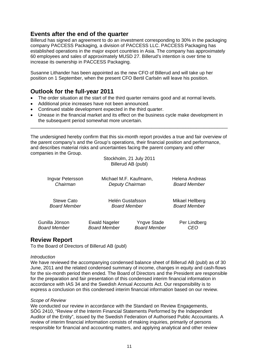# **Events after the end of the quarter**

Billerud has signed an agreement to do an investment corresponding to 30% in the packaging company PACCESS Packaging, a division of PACCESS LLC. PACCESS Packaging has established operations in the major export countries in Asia. The company has approximately 60 employees and sales of approximately MUSD 27. Billerud's intention is over time to increase its ownership in PACCESS Packaging.

Susanne Lithander has been appointed as the new CFO of Billerud and will take up her position on 1 September, when the present CFO Bertil Carlsén will leave his position.

# **Outlook for the full-year 2011**

- The order situation at the start of the third quarter remains good and at normal levels.
- Additional price increases have not been announced.
- Continued stable development expected in the third quarter.
- Unease in the financial market and its effect on the business cycle make development in the subsequent period somewhat more uncertain.

The undersigned hereby confirm that this six-month report provides a true and fair overview of the parent company's and the Group's operations, their financial position and performance, and describes material risks and uncertainties facing the parent company and other companies in the Group.

\_\_\_\_\_\_\_\_\_\_\_\_\_\_\_\_\_\_\_\_\_\_\_\_\_\_\_\_\_\_\_\_\_\_\_\_\_\_\_\_\_\_\_\_\_\_\_\_\_\_\_\_\_\_\_\_\_\_\_\_\_\_\_\_\_\_\_\_\_\_\_\_\_\_\_

Stockholm, 21 July 2011 Billerud AB (publ)

| Ingvar Petersson    |                      | Michael M.F. Kaufmann, | Helena Andreas      |
|---------------------|----------------------|------------------------|---------------------|
| Chairman            |                      | Deputy Chairman        | <b>Board Member</b> |
| <b>Stewe Cato</b>   | Helén Gustafsson     | Mikael Hellberg        |                     |
| <b>Board Member</b> | <b>Board Member</b>  | <b>Board Member</b>    |                     |
| Gunilla Jönson      | <b>Ewald Nageler</b> | <b>Yngve Stade</b>     | Per Lindberg        |
| <b>Board Member</b> | <b>Board Member</b>  | <b>Board Member</b>    | CEO                 |

# **Review Report**

To the Board of Directors of Billerud AB (publ)

# *Introduction*

We have reviewed the accompanying condensed balance sheet of Billerud AB (publ) as of 30 June, 2011 and the related condensed summary of income, changes in equity and cash-flows for the six-month period then ended. The Board of Directors and the President are responsible for the preparation and fair presentation of this condensed interim financial information in accordance with IAS 34 and the Swedish Annual Accounts Act. Our responsibility is to express a conclusion on this condensed interim financial information based on our review.

# *Scope of Review*

We conducted our review in accordance with the Standard on Review Engagements, SÖG 2410, "Review of the Interim Financial Statements Performed by the Independent Auditor of the Entity", issued by the Swedish Federation of Authorised Public Accountants. A review of interim financial information consists of making inquiries, primarily of persons responsible for financial and accounting matters, and applying analytical and other review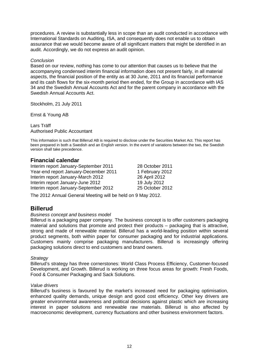procedures. A review is substantially less in scope than an audit conducted in accordance with International Standards on Auditing, ISA, and consequently does not enable us to obtain assurance that we would become aware of all significant matters that might be identified in an audit. Accordingly, we do not express an audit opinion.

# *Conclusion*

Based on our review, nothing has come to our attention that causes us to believe that the accompanying condensed interim financial information does not present fairly, in all material aspects, the financial position of the entity as at 30 June, 2011 and its financial performance and its cash flows for the six-month period then ended, for the Group in accordance with IAS 34 and the Swedish Annual Accounts Act and for the parent company in accordance with the Swedish Annual Accounts Act.

Stockholm, 21 July 2011

Ernst & Young AB

Lars Träff Authorised Public Accountant

This information is such that Billerud AB is required to disclose under the Securities Market Act. This report has been prepared in both a Swedish and an English version. In the event of variations between the two, the Swedish version shall take precedence.

# **Financial calendar**

Interim report January-September 2011 28 October 2011 Year-end report January-December 2011 1 February 2012<br>
Interim report January-March 2012 26 April 2012 Interim report January-March 2012 Interim report January-June 2012 19 July 2012 Interim report January-September 2012 25 October 2012

The 2012 Annual General Meeting will be held on 9 May 2012.

# **Billerud**

# *Business concept and business model*

Billerud is a packaging paper company. The business concept is to offer customers packaging material and solutions that promote and protect their products – packaging that is attractive, strong and made of renewable material. Billerud has a world-leading position within several product segments, both within paper for consumer packaging and for industrial applications. Customers mainly comprise packaging manufacturers. Billerud is increasingly offering packaging solutions direct to end customers and brand owners.

# *Strategy*

Billerud's strategy has three cornerstones: World Class Process Efficiency, Customer-focused Development, and Growth. Billerud is working on three focus areas for growth: Fresh Foods, Food & Consumer Packaging and Sack Solutions.

# *Value drivers*

Billerud's business is favoured by the market's increased need for packaging optimisation, enhanced quality demands, unique design and good cost efficiency. Other key drivers are greater environmental awareness and political decisions against plastic which are increasing interest in paper solutions and renewable raw materials. Billerud is also affected by macroeconomic development, currency fluctuations and other business environment factors.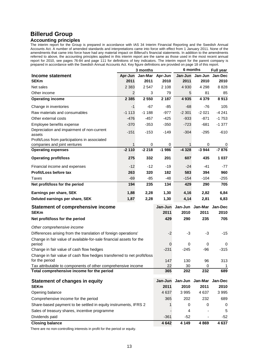# **Billerud Group**

# **Accounting principles**

The interim report for the Group is prepared in accordance with IAS 34 Interim Financial Reporting and the Swedish Annual Accounts Act. A number of amended standards and interpretations came into force with effect from 1 January 2011. None of the amendments that came into force have had any material impact on Billerud's financial statements. In addition to the amendments referred to above, the accounting principles applied in this interim report are the same as those used in the most recent annual report for 2010, see pages 76-84 and page 111 for definitions of key indicators. The interim report for the parent company is prepared in accordance with the Swedish Annual Accounts Act. Key figure definitions are provided on page 18 of this report.

|                                                                         |         | 3 months | 6 months    |                 |          | Full year   |
|-------------------------------------------------------------------------|---------|----------|-------------|-----------------|----------|-------------|
| Income statement                                                        | Apr-Jun | Jan-Mar  | Apr-Jun     | Jan-Jun         | Jan-Jun  | Jan-Dec     |
| <b>SEKm</b>                                                             | 2011    | 2011     | 2010        | 2011            | 2010     | 2010        |
| Net sales                                                               | 2 3 8 3 | 2 5 4 7  | 2 1 0 8     | 4 9 3 0         | 4 2 9 8  | 8828        |
| Other income                                                            | 2       | 3        | 79          | 5               | 81       | 85          |
| <b>Operating income</b>                                                 | 2 3 8 5 | 2 5 5 0  | 2 1 8 7     | 4 9 3 5         | 4 3 7 9  | 8913        |
| Change in inventories                                                   | $-1$    | -67      | $-85$       | $-68$           | -76      | 105         |
| Raw materials and consumables                                           | $-1113$ | $-1188$  | $-977$      | $-2301$         | $-2021$  | $-4241$     |
| Other external costs                                                    | $-476$  | -457     | $-425$      | $-933$          | $-871$   | $-1753$     |
| Employee benefits expense                                               | $-370$  | $-353$   | $-350$      | $-723$          | $-681$   | $-1377$     |
| Depreciation and impairment of non-current<br>assets                    | $-151$  | $-153$   | $-149$      | $-304$          | $-295$   | $-610$      |
| Profit/Loss from participations in associated                           |         |          |             |                 |          |             |
| companies and joint ventures                                            | 1       | 0        | 0           | 1               | 0        | 0           |
| <b>Operating expenses</b>                                               | $-2110$ | $-2218$  | $-1986$     | $-4328$         | $-3944$  | $-7876$     |
| <b>Operating profit/loss</b>                                            | 275     | 332      | 201         | 607             | 435      | 1 0 3 7     |
| Financial income and expenses                                           | $-12$   | $-12$    | $-19$       | $-24$           | $-41$    | $-77$       |
| Profit/Loss before tax                                                  | 263     | 320      | 182         | 583             | 394      | 960         |
| Taxes                                                                   | $-69$   | $-85$    | $-48$       | $-154$          | $-104$   | $-255$      |
| Net profit/loss for the period                                          | 194     | 235      | 134         | 429             | 290      | 705         |
| Earnings per share, SEK                                                 | 1,88    | 2,28     | 1,30        | 4,16            | 2,82     | 6,84        |
| Deluted earnings per share, SEK                                         | 1,87    | 2,28     | 1,30        | 4,14            | 2,81     | 6,83        |
| <b>Statement of comprehensive income</b>                                |         |          | Jan-Jun     | Jan-Jun Jan-Mar |          | Jan-Dec     |
| <b>SEKm</b>                                                             |         |          | 2011        | 2010            | 2011     | 2010        |
| Net profit/loss for the period                                          |         |          | 429         | 290             | 235      | 705         |
| Other comprehensive income                                              |         |          |             |                 |          |             |
| Differences arising from the translation of foreign operations'         |         |          | $-2$        | $-3$            | $-3$     | $-15$       |
| Change in fair value of available-for-sale financial assets for the     |         |          |             |                 |          |             |
| period<br>Change in fair value of cash flow hedges                      |         |          | 0<br>$-231$ | 0<br>$-245$     | 0<br>-96 | 0<br>$-315$ |
| Change in fair value of cash flow hedges transferred to net profit/loss |         |          |             |                 |          |             |
| for the period                                                          |         |          | 147         | 130             | 96       | 313         |
| Tax attributable to components of other comprehensive income            |         |          | 22          | 30              | 0        | 1           |
| Total comprehensive income for the period                               |         |          | 365         | 202             | 232      | 689         |
| <b>Statement of changes in equity</b>                                   |         |          | Jan-Jun     | Jan-Jun         | Jan-Mar  | Jan-Dec     |
| <b>SEKm</b>                                                             |         |          | 2011        | 2010            | 2011     | 2010        |
| Opening balance                                                         |         |          | 4 6 3 7     | 3995            | 4637     | 3 9 9 5     |
| Comprehensive income for the period                                     |         | 365      | 202         | 232             | 689      |             |
| Share-based payment to be settled in equity instruments, IFRS 2         |         |          |             | 0               | 0        | 0           |
| Sales of treasury shares, incentive programme                           |         |          |             | 4               |          | 5           |
| Dividends paid                                                          |         |          | $-361$      | $-52$           |          | $-52$       |
| <b>Closing balance</b>                                                  |         |          | 4 6 4 2     | 4 1 4 9         | 4869     | 4 6 3 7     |

There are no non-controlling interests in profit for the period or equity.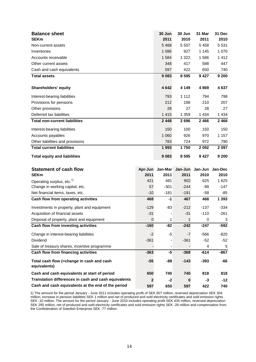| <b>Balance sheet</b><br><b>SEKm</b>                       |                  | 30 Jun<br>2011 | 30 Jun<br>2010 | 31 Mar<br>2011 | 31 Dec<br>2010 |
|-----------------------------------------------------------|------------------|----------------|----------------|----------------|----------------|
| Non-current assets                                        |                  | 5468           | 5 5 0 7        | 5458           | 5 5 3 1        |
| Inventories                                               |                  | 1 0 8 6        | 927            | 1 1 4 5        | 1 0 7 0        |
| Accounts receivable                                       |                  | 1 5 8 4        | 1 3 2 2        | 1586           | 1412           |
| Other current assets                                      |                  | 348            | 417            | 588            | 447            |
| Cash and cash equivalents                                 |                  | 597            | 422            | 650            | 740            |
| <b>Total assets</b>                                       |                  | 9083           | 8595           | 9427           | 9 200          |
| <b>Shareholders' equity</b>                               |                  | 4642           | 4 1 4 9        | 4869           | 4 6 3 7        |
| Interest-bearing liabilities                              |                  | 793            | 1 1 1 2        | 794            | 798            |
| Provisions for pensions                                   |                  | 212            | 198            | 210            | 207            |
| Other provisions                                          |                  | 28             | 27             | 28             | 27             |
| Deferred tax liabilities                                  |                  | 1 4 1 5        | 1 3 5 9        | 1 4 3 4        | 1 4 3 4        |
| <b>Total non-current liabilities</b>                      |                  | 2 4 4 8        | 2696           | 2 4 6 6        | 2466           |
| Interest-bearing liabilities                              |                  | 150            | 100            | 150            | 150            |
| Accounts payables                                         |                  | 1 0 6 0        | 926            | 970            | 1 1 5 7        |
| Other liabilities and provisions                          |                  | 783            | 724            | 972            | 790            |
| <b>Total current liabilities</b>                          |                  | 1993           | 1750           | 2 0 9 2        | 2 0 9 7        |
| <b>Total equity and liabilities</b>                       |                  | 9083           | 8 5 9 5        | 9427           | 9 200          |
| <b>Statement of cash flow</b>                             | Apr-Jun          | Jan-Mar        | Jan-Jun        | Jan-Jun        | Jan-Dec        |
| <b>SEKm</b>                                               | 2011             | 2011           | 2011           | 2010           | 2010           |
| Operating surplus, etc. <sup>1)</sup>                     | 421              | 481            | 902            | 625            | 1 6 2 5        |
| Change in working capital, etc.                           | 57               | $-301$         | $-244$         | -99            | -147           |
| Net financial items, taxes, etc.                          | $-10$            | $-181$         | $-191$         | $-58$          | -85            |
| Cash flow from operating activities                       | 468              | $-1$           | 467            | 468            | 1 3 9 3        |
| Investments in property, plant and equipment              | $-129$           | $-83$          | $-212$         | $-137$         | $-334$         |
| Acquisition of financial assets                           | $-31$            |                | $-31$          | $-110$         | $-261$         |
| Disposal of property, plant and equipment                 | $\boldsymbol{0}$ | 1              | 1              | 0              | 3              |
| Cash flow from investing activities                       | $-160$           | $-82$          | $-242$         | $-247$         | -592           |
| Change in interest-bearing liabilities                    | $-2$             | -5             | -7             | $-566$         | -820           |
| Dividend                                                  | $-361$           |                | $-361$         | $-52$          | $-52$          |
| Sale of treasury shares, incentive programme              |                  |                |                | 4              | 5              |
| Cash flow from financing activities                       | $-363$           | -5             | $-368$         | $-614$         | $-867$         |
| Total cash flow (=change in cash and cash<br>equivalents) | $-55$            | -88            | $-143$         | $-393$         | -66            |
| Cash and cash equivalents at start of period              | 650              | 740            | 740            | 818            | 818            |
|                                                           |                  |                |                |                |                |
| Translation differences in cash and cash equivalents      | $\mathbf{2}$     | $-2$           | 0              | $-3$           | $-12$          |

1) The amount for the period January - June 2011 includes operating profit of SEK 607 million, reversed depreciation SEK 304 million, increase in pension liabilities SEK 1 million and net of produced and sold electricity certificates and sold emission rights SEK -10 million. The amount for the period January - June 2010 includes operating profit SEK 435 million, reversed depreciation SEK 295 million, net of produced and sold electricity certificates and sold emission rights SEK -28 million and compensation from the Confederation of Swedish Enterprise SEK -77 million.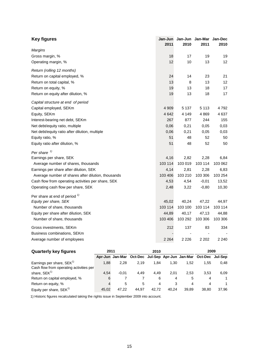| <b>Key figures</b>                                 | Jan-Jun<br>2011 | 2010    | Jan-Jun Jan-Mar Jan-Dec<br>2011 | 2010    |
|----------------------------------------------------|-----------------|---------|---------------------------------|---------|
| Margins                                            |                 |         |                                 |         |
| Gross margin, %                                    | 18              | 17      | 19                              | 19      |
| Operating margin, %                                | 12              | 10      | 13                              | 12      |
| Return (rolling 12 months)                         |                 |         |                                 |         |
| Return on capital employed, %                      | 24              | 14      | 23                              | 21      |
| Return on total capital, %                         | 13              | 8       | 13                              | 12      |
| Return on equity, %                                | 19              | 13      | 18                              | 17      |
| Return on equity after dilution, %                 | 19              | 13      | 18                              | 17      |
| Capital structure at end of period                 |                 |         |                                 |         |
| Capital employed, SEKm                             | 4 9 0 9         | 5 1 3 7 | 5 1 1 3                         | 4792    |
| Equity, SEKm                                       | 4 6 4 2         | 4 1 4 9 | 4 8 6 9                         | 4637    |
| Interest-bearing net debt, SEKm                    | 267             | 877     | 244                             | 155     |
| Net debt/equity ratio, multiple                    | 0,06            | 0,21    | 0,05                            | 0,03    |
| Net debt/equity ratio after dilution, multiple     | 0,06            | 0,21    | 0,05                            | 0,03    |
| Equity ratio, %                                    | 51              | 48      | 52                              | 50      |
| Equity ratio after dilution, %                     | 51              | 48      | 52                              | 50      |
| Per share $\frac{1}{2}$                            |                 |         |                                 |         |
| Earnings per share, SEK                            | 4,16            | 2,82    | 2,28                            | 6,84    |
| Average number of shares, thousands                | 103 114         | 103 019 | 103 114                         | 103 062 |
| Earnings per share after dilution, SEK             | 4,14            | 2,81    | 2,28                            | 6,83    |
| Average number of shares after dilution, thousands | 103 406         | 103 210 | 103 306                         | 103 254 |
| Cash flow from operating activities per share, SEK | 4,53            | 4,54    | $-0,01$                         | 13,52   |
| Operating cash flow per share, SEK                 | 2,48            | 3,22    | $-0,80$                         | 10,30   |
| Per share at end of period $\frac{1}{2}$           |                 |         |                                 |         |
| Equity per share, SEK                              | 45,02           | 40,24   | 47,22                           | 44,97   |
| Number of share, thousands                         | 103 114         | 103 100 | 103 114                         | 103 114 |
| Equity per share after dilution, SEK               | 44,89           | 40,17   | 47,13                           | 44,88   |
| Number of share, thousands                         | 103 406         | 103 292 | 103 306                         | 103 306 |
| Gross investments, SEKm                            | 212             | 137     | 83                              | 334     |
| Business combinations, SEKm                        |                 |         |                                 |         |
| Average number of employees                        | 2 2 6 4         | 2 2 2 6 | 2 2 0 2                         | 2 2 4 0 |

| <b>Quarterly key figures</b>                                             | 2011  |         |                                                                 | 2010  |       |       | 2009  |       |
|--------------------------------------------------------------------------|-------|---------|-----------------------------------------------------------------|-------|-------|-------|-------|-------|
|                                                                          |       |         | Apr-Jun Jan-Mar Oct-Dec Jul-Sep Apr-Jun Jan-Mar Oct-Dec Jul-Sep |       |       |       |       |       |
| Earnings per share, $SEK^{1}$<br>Cash flow from operating activities per | 1.88  | 2.28    | 2.19                                                            | 1.84  | 1.30  | 1.52  | 1.55  | 0.48  |
| share, SEK <sup>1)</sup>                                                 | 4.54  | $-0.01$ | 4.49                                                            | 4.49  | 2.01  | 2.53  | 3.53  | 6.09  |
| Return on capital employed, %                                            | 6     |         |                                                                 | 6     | 4     | 5     | 4     |       |
| Return on equity, %                                                      | 4     | 5       | 5                                                               | 4     |       | 4     | 4     |       |
| Equity per share, $SEK^{1}$                                              | 45.02 | 47.22   | 44.97                                                           | 42.72 | 40.24 | 39.89 | 38.80 | 37.96 |

1) Historic figures recalculated taking the rights issue in September 2009 into account.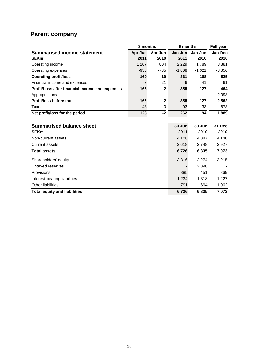# **Parent company**

|                                                 | 3 months |         | 6 months | <b>Full year</b> |               |
|-------------------------------------------------|----------|---------|----------|------------------|---------------|
| <b>Summarised income statement</b>              | Apr-Jun  | Apr-Jun | Jan-Jun  | Jan-Jun          | Jan-Dec       |
| <b>SEKm</b>                                     | 2011     | 2010    | 2011     | 2010             | 2010          |
| Operating income                                | 1 1 0 7  | 804     | 2 2 2 9  | 1789             | 3881          |
| Operating expenses                              | $-938$   | $-785$  | $-1868$  | $-1621$          | $-3356$       |
| <b>Operating profit/loss</b>                    | 169      | 19      | 361      | 168              | 525           |
| Financial income and expenses                   | $-3$     | $-21$   | -6       | $-41$            | $-61$         |
| Profit/Loss after financial income and expenses | 166      | $-2$    | 355      | 127              | 464           |
| Appropriations                                  |          |         |          |                  | 2 0 9 8       |
| Profit/loss before tax                          | 166      | $-2$    | 355      | 127              | 2562          |
| Taxes                                           | $-43$    | 0       | $-93$    | $-33$            | $-673$        |
| Net profit/loss for the period                  | 123      | $-2$    | 262      | 94               | 1889          |
|                                                 |          |         |          |                  |               |
| <b>Summarised balance sheet</b>                 |          |         | 30 Jun   | 30 Jun           | <b>31 Dec</b> |
| <b>SEKm</b>                                     |          |         | 2011     | 2010             | 2010          |
| Non-current assets                              |          |         | 4 1 0 8  | 4 0 8 7          | 4 146         |
| <b>Current assets</b>                           |          |         | 2618     | 2748             | 2927          |
| <b>Total assets</b>                             |          |         | 6726     | 6835             | 7073          |
| Shareholders' equity                            |          |         | 3816     | 2 2 7 4          | 3915          |
| Untaxed reserves                                |          |         |          | 2098             |               |
| Provisions                                      |          |         | 885      | 451              | 869           |
| Interest-bearing liabilities                    |          |         | 1 2 3 4  | 1 3 1 8          | 1 2 2 7       |
| Other liabilities                               |          |         | 791      | 694              | 1 0 6 2       |
| <b>Total equity and liabilities</b>             |          |         | 6726     | 6835             | 7073          |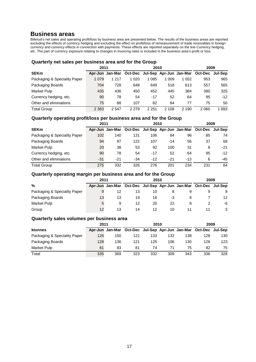# **Business areas**

Billerud's net sales and operating profit/loss by business area are presented below. The results of the business areas are reported excluding the effects of currency hedging and excluding the effect on profit/loss of remeasurement of trade receivables in foreign currency and currency effects in connection with payments. These effects are reported separately on the line Currency hedging, etc. The part of currency exposure relating to changes in invoicing rates is included in the business area's profit or loss.

# **Quarterly net sales per business area and for the Group**

|                              | 2011    |         |                                                                 | 2010    | 2009  |         |      |       |
|------------------------------|---------|---------|-----------------------------------------------------------------|---------|-------|---------|------|-------|
| <b>SEKm</b>                  |         |         | Apr-Jun Jan-Mar Oct-Dec Jul-Sep Apr-Jun Jan-Mar Oct-Dec Jul-Sep |         |       |         |      |       |
| Packaging & Speciality Paper | 1 0 7 9 | 1 217   | 1 020                                                           | 1085    | 1 009 | 1 0 5 2 | 953  | 965   |
| Packaging Boards             | 704     | 728     | 648                                                             | 649     | 518   | 613     | 557  | 565   |
| Market Pulp                  | 435     | 436     | 450                                                             | 452     | 445   | 384     | 380  | 325   |
| Currency hedging, etc.       | 90      | 78      | 54                                                              | -17     | 52    | 64      | 95   | $-12$ |
| Other and eliminations       | 75      | 88      | 107                                                             | 82      | 84    | 77      | 75   | 50    |
| <b>Total Group</b>           | 2 3 8 3 | 2 5 4 7 | 2 2 7 9                                                         | 2 2 5 1 | 2 108 | 2 1 9 0 | 2060 | 1893  |

# **Quarterly operating profit/loss per business area and for the Group**

|                              | 2011  |       | 2010  |       |       | 2009  |                                                                 |       |
|------------------------------|-------|-------|-------|-------|-------|-------|-----------------------------------------------------------------|-------|
| <b>SEKm</b>                  |       |       |       |       |       |       | Apr-Jun Jan-Mar Oct-Dec Jul-Sep Apr-Jun Jan-Mar Oct-Dec Jul-Sep |       |
| Packaging & Speciality Paper | 102   | 140   | 131   | 106   | 84    | 96    | 85                                                              | 74    |
| Packaging Boards             | 94    | 97    | 122   | 107   | $-14$ | 56    | 37                                                              | 68    |
| <b>Market Pulp</b>           | 20    | 38    | 53    | 92    | 100   | 31    | 8                                                               | -21   |
| Currency hedging, etc.       | 90    | 78    | 54    | $-17$ | 52    | 64    | 95                                                              | $-12$ |
| Other and eliminations       | $-31$ | $-21$ | $-34$ | $-12$ | $-21$ | $-13$ | 6                                                               | $-45$ |
| <b>Total Group</b>           | 275   | 332   | 326   | 276   | 201   | 234   | 231                                                             | 64    |

# **Quarterly operating margin per business area and for the Group**

|                              | 2011 |    | 2010                                                            | 2009 |    |  |  |                 |
|------------------------------|------|----|-----------------------------------------------------------------|------|----|--|--|-----------------|
| $\frac{0}{0}$                |      |    | Apr-Jun Jan-Mar Oct-Dec Jul-Sep Apr-Jun Jan-Mar Oct-Dec Jul-Sep |      |    |  |  |                 |
| Packaging & Speciality Paper |      | 12 | 13                                                              | 10   |    |  |  | 8               |
| Packaging Boards             | 13   | 13 | 19                                                              | 16   | -3 |  |  | 12 <sup>2</sup> |
| Market Pulp                  |      | 9  | 12                                                              | 20   | 22 |  |  | -6              |
| Group                        | 12   | 13 | 14                                                              | 12   | 10 |  |  |                 |

# **Quarterly sales volumes per business area**

|                              | 2011 |     |                                                                 | 2010 | 2009 |     |     |     |
|------------------------------|------|-----|-----------------------------------------------------------------|------|------|-----|-----|-----|
| ktonnes                      |      |     | Apr-Jun Jan-Mar Oct-Dec Jul-Sep Apr-Jun Jan-Mar Oct-Dec Jul-Sep |      |      |     |     |     |
| Packaging & Speciality Paper | 126  | 150 | 121                                                             | 133  | 132  | 138 | 128 | 130 |
| Packaging Boards             | 128  | 136 | 121                                                             | 125  | 106  | 130 | 126 | 123 |
| Market Pulp                  | 81   | 83  | 81                                                              | 74   | 71   | 75  | 82  | 75  |
| Total                        | 335  | 369 | 323                                                             | 332  | 309  | 343 | 336 | 328 |